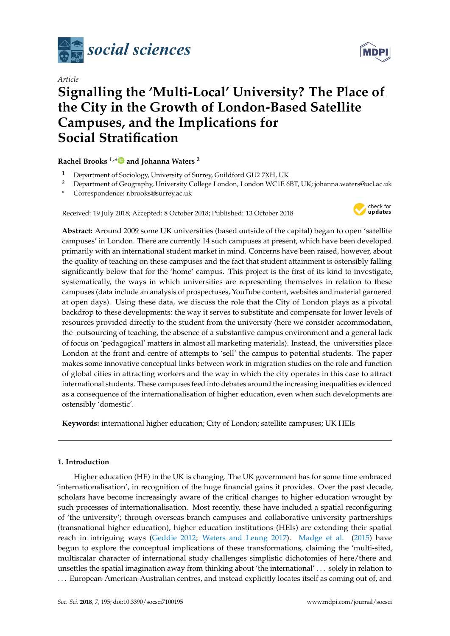

*Article*



# **Signalling the 'Multi-Local' University? The Place of the City in the Growth of London-Based Satellite Campuses, and the Implications for Social Stratification**

# **Rachel Brooks 1,[\\*](https://orcid.org/0000-0002-8692-1673) and Johanna Waters <sup>2</sup>**

- <sup>1</sup> Department of Sociology, University of Surrey, Guildford GU2 7XH, UK
- <sup>2</sup> Department of Geography, University College London, London WC1E 6BT, UK; johanna.waters@ucl.ac.uk
- **\*** Correspondence: r.brooks@surrey.ac.uk

Received: 19 July 2018; Accepted: 8 October 2018; Published: 13 October 2018



**Abstract:** Around 2009 some UK universities (based outside of the capital) began to open 'satellite campuses' in London. There are currently 14 such campuses at present, which have been developed primarily with an international student market in mind. Concerns have been raised, however, about the quality of teaching on these campuses and the fact that student attainment is ostensibly falling significantly below that for the 'home' campus. This project is the first of its kind to investigate, systematically, the ways in which universities are representing themselves in relation to these campuses (data include an analysis of prospectuses, YouTube content, websites and material garnered at open days). Using these data, we discuss the role that the City of London plays as a pivotal backdrop to these developments: the way it serves to substitute and compensate for lower levels of resources provided directly to the student from the university (here we consider accommodation, the outsourcing of teaching, the absence of a substantive campus environment and a general lack of focus on 'pedagogical' matters in almost all marketing materials). Instead, the universities place London at the front and centre of attempts to 'sell' the campus to potential students. The paper makes some innovative conceptual links between work in migration studies on the role and function of global cities in attracting workers and the way in which the city operates in this case to attract international students. These campuses feed into debates around the increasing inequalities evidenced as a consequence of the internationalisation of higher education, even when such developments are ostensibly 'domestic'.

**Keywords:** international higher education; City of London; satellite campuses; UK HEIs

# **1. Introduction**

Higher education (HE) in the UK is changing. The UK government has for some time embraced 'internationalisation', in recognition of the huge financial gains it provides. Over the past decade, scholars have become increasingly aware of the critical changes to higher education wrought by such processes of internationalisation. Most recently, these have included a spatial reconfiguring of 'the university'; through overseas branch campuses and collaborative university partnerships (transnational higher education), higher education institutions (HEIs) are extending their spatial reach in intriguing ways [\(Geddie](#page-14-0) [2012;](#page-14-0) [Waters and Leung](#page-15-0) [2017\)](#page-15-0). [Madge et al.](#page-15-1) [\(2015\)](#page-15-1) have begun to explore the conceptual implications of these transformations, claiming the 'multi-sited, multiscalar character of international study challenges simplistic dichotomies of here/there and unsettles the spatial imagination away from thinking about 'the international' . . . solely in relation to . . . European-American-Australian centres, and instead explicitly locates itself as coming out of, and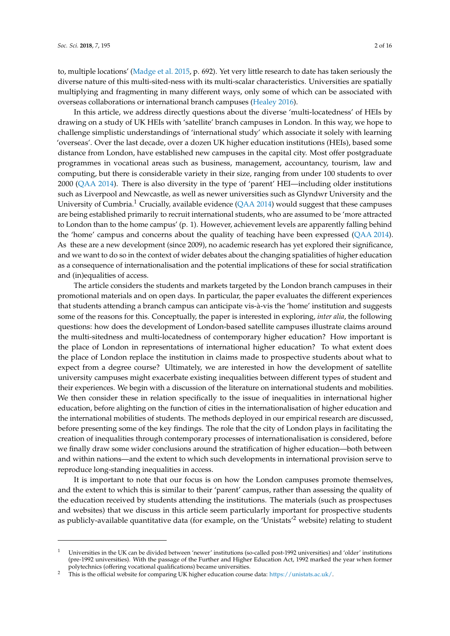to, multiple locations' [\(Madge et al.](#page-15-1) [2015,](#page-15-1) p. 692). Yet very little research to date has taken seriously the diverse nature of this multi-sited-ness with its multi-scalar characteristics. Universities are spatially multiplying and fragmenting in many different ways, only some of which can be associated with overseas collaborations or international branch campuses [\(Healey](#page-14-1) [2016\)](#page-14-1).

In this article, we address directly questions about the diverse 'multi-locatedness' of HEIs by drawing on a study of UK HEIs with 'satellite' branch campuses in London. In this way, we hope to challenge simplistic understandings of 'international study' which associate it solely with learning 'overseas'. Over the last decade, over a dozen UK higher education institutions (HEIs), based some distance from London, have established new campuses in the capital city. Most offer postgraduate programmes in vocational areas such as business, management, accountancy, tourism, law and computing, but there is considerable variety in their size, ranging from under 100 students to over 2000 [\(QAA](#page-15-2) [2014\)](#page-15-2). There is also diversity in the type of 'parent' HEI—including older institutions such as Liverpool and Newcastle, as well as newer universities such as Glyndwr University and the University of Cumbria.<sup>1</sup> Crucially, available evidence ( $QAA 2014$ ) would suggest that these campuses are being established primarily to recruit international students, who are assumed to be 'more attracted to London than to the home campus' (p. 1). However, achievement levels are apparently falling behind the 'home' campus and concerns about the quality of teaching have been expressed [\(QAA](#page-15-2) [2014\)](#page-15-2). As these are a new development (since 2009), no academic research has yet explored their significance, and we want to do so in the context of wider debates about the changing spatialities of higher education as a consequence of internationalisation and the potential implications of these for social stratification and (in)equalities of access.

The article considers the students and markets targeted by the London branch campuses in their promotional materials and on open days. In particular, the paper evaluates the different experiences that students attending a branch campus can anticipate vis-à-vis the 'home' institution and suggests some of the reasons for this. Conceptually, the paper is interested in exploring, *inter alia*, the following questions: how does the development of London-based satellite campuses illustrate claims around the multi-sitedness and multi-locatedness of contemporary higher education? How important is the place of London in representations of international higher education? To what extent does the place of London replace the institution in claims made to prospective students about what to expect from a degree course? Ultimately, we are interested in how the development of satellite university campuses might exacerbate existing inequalities between different types of student and their experiences. We begin with a discussion of the literature on international students and mobilities. We then consider these in relation specifically to the issue of inequalities in international higher education, before alighting on the function of cities in the internationalisation of higher education and the international mobilities of students. The methods deployed in our empirical research are discussed, before presenting some of the key findings. The role that the city of London plays in facilitating the creation of inequalities through contemporary processes of internationalisation is considered, before we finally draw some wider conclusions around the stratification of higher education—both between and within nations—and the extent to which such developments in international provision serve to reproduce long-standing inequalities in access.

It is important to note that our focus is on how the London campuses promote themselves, and the extent to which this is similar to their 'parent' campus, rather than assessing the quality of the education received by students attending the institutions. The materials (such as prospectuses and websites) that we discuss in this article seem particularly important for prospective students as publicly-available quantitative data (for example, on the 'Unistats'<sup>2</sup> website) relating to student

<sup>1</sup> Universities in the UK can be divided between 'newer' institutions (so-called post-1992 universities) and 'older' institutions (pre-1992 universities). With the passage of the Further and Higher Education Act, 1992 marked the year when former polytechnics (offering vocational qualifications) became universities.

<sup>2</sup> This is the official website for comparing UK higher education course data: [https://unistats.ac.uk/.](https://unistats.ac.uk/)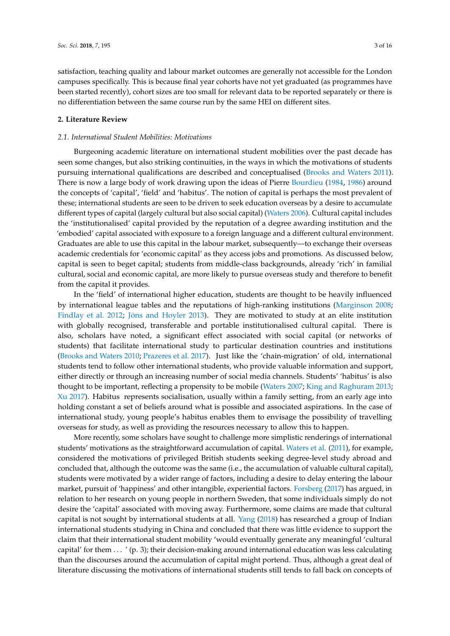satisfaction, teaching quality and labour market outcomes are generally not accessible for the London campuses specifically. This is because final year cohorts have not yet graduated (as programmes have been started recently), cohort sizes are too small for relevant data to be reported separately or there is no differentiation between the same course run by the same HEI on different sites.

# **2. Literature Review**

### *2.1. International Student Mobilities: Motivations*

Burgeoning academic literature on international student mobilities over the past decade has seen some changes, but also striking continuities, in the ways in which the motivations of students pursuing international qualifications are described and conceptualised [\(Brooks and Waters](#page-14-2) [2011\)](#page-14-2). There is now a large body of work drawing upon the ideas of Pierre [Bourdieu](#page-14-3) [\(1984,](#page-14-3) [1986\)](#page-14-4) around the concepts of 'capital', 'field' and 'habitus'. The notion of capital is perhaps the most prevalent of these; international students are seen to be driven to seek education overseas by a desire to accumulate different types of capital (largely cultural but also social capital) [\(Waters](#page-15-3) [2006\)](#page-15-3). Cultural capital includes the 'institutionalised' capital provided by the reputation of a degree awarding institution and the 'embodied' capital associated with exposure to a foreign language and a different cultural environment. Graduates are able to use this capital in the labour market, subsequently—to exchange their overseas academic credentials for 'economic capital' as they access jobs and promotions. As discussed below, capital is seen to beget capital; students from middle-class backgrounds, already 'rich' in familial cultural, social and economic capital, are more likely to pursue overseas study and therefore to benefit from the capital it provides.

In the 'field' of international higher education, students are thought to be heavily influenced by international league tables and the reputations of high-ranking institutions [\(Marginson](#page-15-4) [2008;](#page-15-4) [Findlay et al.](#page-14-5) [2012;](#page-14-5) [Jöns and Hoyler](#page-14-6) [2013\)](#page-14-6). They are motivated to study at an elite institution with globally recognised, transferable and portable institutionalised cultural capital. There is also, scholars have noted, a significant effect associated with social capital (or networks of students) that facilitate international study to particular destination countries and institutions [\(Brooks and Waters](#page-14-7) [2010;](#page-14-7) [Prazeres et al.](#page-15-5) [2017\)](#page-15-5). Just like the 'chain-migration' of old, international students tend to follow other international students, who provide valuable information and support, either directly or through an increasing number of social media channels. Students' 'habitus' is also thought to be important, reflecting a propensity to be mobile [\(Waters](#page-15-6) [2007;](#page-15-6) [King and Raghuram](#page-14-8) [2013;](#page-14-8) [Xu](#page-15-7) [2017\)](#page-15-7). Habitus represents socialisation, usually within a family setting, from an early age into holding constant a set of beliefs around what is possible and associated aspirations. In the case of international study, young people's habitus enables them to envisage the possibility of travelling overseas for study, as well as providing the resources necessary to allow this to happen.

More recently, some scholars have sought to challenge more simplistic renderings of international students' motivations as the straightforward accumulation of capital. [Waters et al.](#page-15-8) [\(2011\)](#page-15-8), for example, considered the motivations of privileged British students seeking degree-level study abroad and concluded that, although the outcome was the same (i.e., the accumulation of valuable cultural capital), students were motivated by a wider range of factors, including a desire to delay entering the labour market, pursuit of 'happiness' and other intangible, experiential factors. [Forsberg](#page-14-9) [\(2017\)](#page-14-9) has argued, in relation to her research on young people in northern Sweden, that some individuals simply do not desire the 'capital' associated with moving away. Furthermore, some claims are made that cultural capital is not sought by international students at all. [Yang](#page-15-9) [\(2018\)](#page-15-9) has researched a group of Indian international students studying in China and concluded that there was little evidence to support the claim that their international student mobility 'would eventually generate any meaningful 'cultural capital' for them  $\dots$  ' (p. 3); their decision-making around international education was less calculating than the discourses around the accumulation of capital might portend. Thus, although a great deal of literature discussing the motivations of international students still tends to fall back on concepts of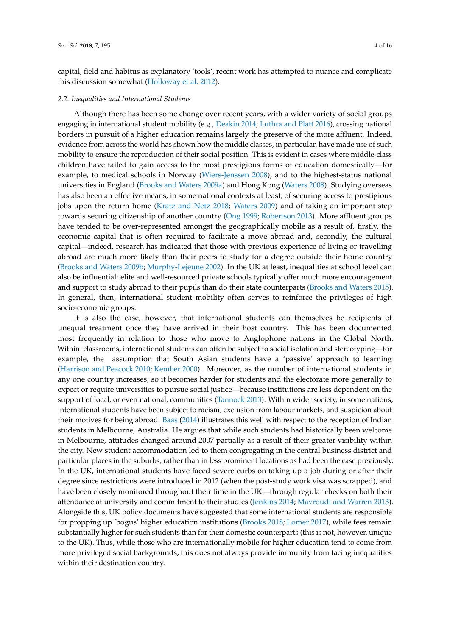capital, field and habitus as explanatory 'tools', recent work has attempted to nuance and complicate this discussion somewhat [\(Holloway et al.](#page-14-10) [2012\)](#page-14-10).

#### *2.2. Inequalities and International Students*

Although there has been some change over recent years, with a wider variety of social groups engaging in international student mobility (e.g., [Deakin](#page-14-11) [2014;](#page-14-11) [Luthra and Platt](#page-14-12) [2016\)](#page-14-12), crossing national borders in pursuit of a higher education remains largely the preserve of the more affluent. Indeed, evidence from across the world has shown how the middle classes, in particular, have made use of such mobility to ensure the reproduction of their social position. This is evident in cases where middle-class children have failed to gain access to the most prestigious forms of education domestically—for example, to medical schools in Norway [\(Wiers-Jenssen](#page-15-10) [2008\)](#page-15-10), and to the highest-status national universities in England [\(Brooks and Waters](#page-14-13) [2009a\)](#page-14-13) and Hong Kong [\(Waters](#page-15-11) [2008\)](#page-15-11). Studying overseas has also been an effective means, in some national contexts at least, of securing access to prestigious jobs upon the return home [\(Kratz and Netz](#page-14-14) [2018;](#page-14-14) [Waters](#page-15-12) [2009\)](#page-15-12) and of taking an important step towards securing citizenship of another country [\(Ong](#page-15-13) [1999;](#page-15-13) [Robertson](#page-15-14) [2013\)](#page-15-14). More affluent groups have tended to be over-represented amongst the geographically mobile as a result of, firstly, the economic capital that is often required to facilitate a move abroad and, secondly, the cultural capital—indeed, research has indicated that those with previous experience of living or travelling abroad are much more likely than their peers to study for a degree outside their home country [\(Brooks and Waters](#page-14-15) [2009b;](#page-14-15) [Murphy-Lejeune](#page-15-15) [2002\)](#page-15-15). In the UK at least, inequalities at school level can also be influential: elite and well-resourced private schools typically offer much more encouragement and support to study abroad to their pupils than do their state counterparts [\(Brooks and Waters](#page-14-16) [2015\)](#page-14-16). In general, then, international student mobility often serves to reinforce the privileges of high socio-economic groups.

It is also the case, however, that international students can themselves be recipients of unequal treatment once they have arrived in their host country. This has been documented most frequently in relation to those who move to Anglophone nations in the Global North. Within classrooms, international students can often be subject to social isolation and stereotyping—for example, the assumption that South Asian students have a 'passive' approach to learning [\(Harrison and Peacock](#page-14-17) [2010;](#page-14-17) [Kember](#page-14-18) [2000\)](#page-14-18). Moreover, as the number of international students in any one country increases, so it becomes harder for students and the electorate more generally to expect or require universities to pursue social justice—because institutions are less dependent on the support of local, or even national, communities [\(Tannock](#page-15-16) [2013\)](#page-15-16). Within wider society, in some nations, international students have been subject to racism, exclusion from labour markets, and suspicion about their motives for being abroad. [Baas](#page-13-0) [\(2014\)](#page-13-0) illustrates this well with respect to the reception of Indian students in Melbourne, Australia. He argues that while such students had historically been welcome in Melbourne, attitudes changed around 2007 partially as a result of their greater visibility within the city. New student accommodation led to them congregating in the central business district and particular places in the suburbs, rather than in less prominent locations as had been the case previously. In the UK, international students have faced severe curbs on taking up a job during or after their degree since restrictions were introduced in 2012 (when the post-study work visa was scrapped), and have been closely monitored throughout their time in the UK—through regular checks on both their attendance at university and commitment to their studies [\(Jenkins](#page-14-19) [2014;](#page-14-19) [Mavroudi and Warren](#page-15-17) [2013\)](#page-15-17). Alongside this, UK policy documents have suggested that some international students are responsible for propping up 'bogus' higher education institutions [\(Brooks](#page-14-20) [2018;](#page-14-20) [Lomer](#page-14-21) [2017\)](#page-14-21), while fees remain substantially higher for such students than for their domestic counterparts (this is not, however, unique to the UK). Thus, while those who are internationally mobile for higher education tend to come from more privileged social backgrounds, this does not always provide immunity from facing inequalities within their destination country.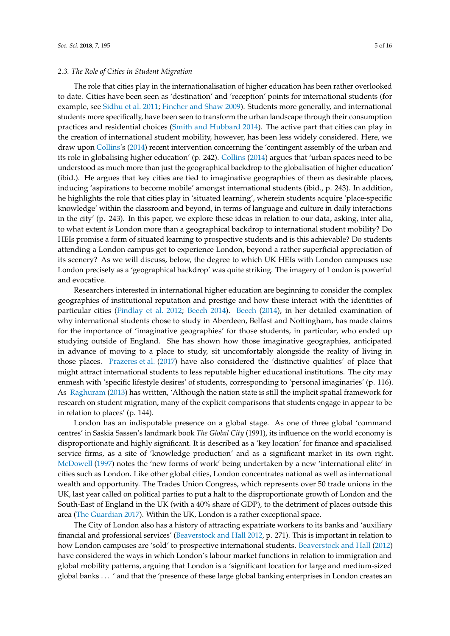The role that cities play in the internationalisation of higher education has been rather overlooked to date. Cities have been seen as 'destination' and 'reception' points for international students (for example, see [Sidhu et al.](#page-15-18) [2011;](#page-15-18) [Fincher and Shaw](#page-14-22) [2009\)](#page-14-22). Students more generally, and international students more specifically, have been seen to transform the urban landscape through their consumption practices and residential choices [\(Smith and Hubbard](#page-15-19) [2014\)](#page-15-19). The active part that cities can play in the creation of international student mobility, however, has been less widely considered. Here, we draw upon [Collins'](#page-14-23)s [\(2014\)](#page-14-23) recent intervention concerning the 'contingent assembly of the urban and its role in globalising higher education' (p. 242). [Collins](#page-14-23) [\(2014\)](#page-14-23) argues that 'urban spaces need to be understood as much more than just the geographical backdrop to the globalisation of higher education' (ibid.). He argues that key cities are tied to imaginative geographies of them as desirable places, inducing 'aspirations to become mobile' amongst international students (ibid., p. 243). In addition, he highlights the role that cities play in 'situated learning', wherein students acquire 'place-specific knowledge' within the classroom and beyond, in terms of language and culture in daily interactions in the city' (p. 243). In this paper, we explore these ideas in relation to our data, asking, inter alia, to what extent *is* London more than a geographical backdrop to international student mobility? Do HEIs promise a form of situated learning to prospective students and is this achievable? Do students attending a London campus get to experience London, beyond a rather superficial appreciation of its scenery? As we will discuss, below, the degree to which UK HEIs with London campuses use London precisely as a 'geographical backdrop' was quite striking. The imagery of London is powerful and evocative.

Researchers interested in international higher education are beginning to consider the complex geographies of institutional reputation and prestige and how these interact with the identities of particular cities [\(Findlay et al.](#page-14-5) [2012;](#page-14-5) [Beech](#page-13-1) [2014\)](#page-13-1). [Beech](#page-13-1) [\(2014\)](#page-13-1), in her detailed examination of why international students chose to study in Aberdeen, Belfast and Nottingham, has made claims for the importance of 'imaginative geographies' for those students, in particular, who ended up studying outside of England. She has shown how those imaginative geographies, anticipated in advance of moving to a place to study, sit uncomfortably alongside the reality of living in those places. [Prazeres et al.](#page-15-5) [\(2017\)](#page-15-5) have also considered the 'distinctive qualities' of place that might attract international students to less reputable higher educational institutions. The city may enmesh with 'specific lifestyle desires' of students, corresponding to 'personal imaginaries' (p. 116). As [Raghuram](#page-15-20) [\(2013\)](#page-15-20) has written, 'Although the nation state is still the implicit spatial framework for research on student migration, many of the explicit comparisons that students engage in appear to be in relation to places' (p. 144).

London has an indisputable presence on a global stage. As one of three global 'command centres' in Saskia Sassen's landmark book *The Global City* (1991), its influence on the world economy is disproportionate and highly significant. It is described as a 'key location' for finance and spacialised service firms, as a site of 'knowledge production' and as a significant market in its own right. [McDowell](#page-15-21) [\(1997\)](#page-15-21) notes the 'new forms of work' being undertaken by a new 'international elite' in cities such as London. Like other global cities, London concentrates national as well as international wealth and opportunity. The Trades Union Congress, which represents over 50 trade unions in the UK, last year called on political parties to put a halt to the disproportionate growth of London and the South-East of England in the UK (with a 40% share of GDP), to the detriment of places outside this area [\(The Guardian](#page-15-22) [2017\)](#page-15-22). Within the UK, London is a rather exceptional space.

The City of London also has a history of attracting expatriate workers to its banks and 'auxiliary financial and professional services' [\(Beaverstock and Hall](#page-13-2) [2012,](#page-13-2) p. 271). This is important in relation to how London campuses are 'sold' to prospective international students. [Beaverstock and Hall](#page-13-2) [\(2012\)](#page-13-2) have considered the ways in which London's labour market functions in relation to immigration and global mobility patterns, arguing that London is a 'significant location for large and medium-sized global banks . . . ' and that the 'presence of these large global banking enterprises in London creates an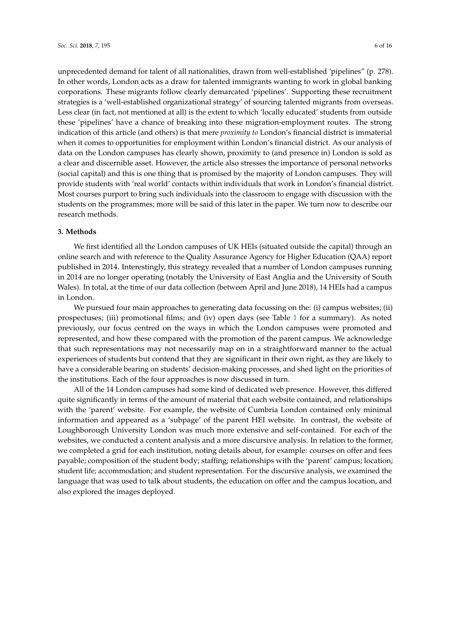unprecedented demand for talent of all nationalities, drawn from well-established 'pipelines" (p. 278). In other words, London acts as a draw for talented immigrants wanting to work in global banking corporations. These migrants follow clearly demarcated 'pipelines'. Supporting these recruitment strategies is a 'well-established organizational strategy' of sourcing talented migrants from overseas. Less clear (in fact, not mentioned at all) is the extent to which 'locally educated' students from outside these 'pipelines' have a chance of breaking into these migration-employment routes. The strong indication of this article (and others) is that mere *proximity to* London's financial district is immaterial when it comes to opportunities for employment within London's financial district. As our analysis of data on the London campuses has clearly shown, proximity to (and presence in) London is sold as a clear and discernible asset. However, the article also stresses the importance of personal networks (social capital) and this is one thing that is promised by the majority of London campuses. They will provide students with 'real world' contacts within individuals that work in London's financial district. Most courses purport to bring such individuals into the classroom to engage with discussion with the students on the programmes; more will be said of this later in the paper. We turn now to describe our research methods.

#### **3. Methods**

We first identified all the London campuses of UK HEIs (situated outside the capital) through an online search and with reference to the Quality Assurance Agency for Higher Education (QAA) report published in 2014. Interestingly, this strategy revealed that a number of London campuses running in 2014 are no longer operating (notably the University of East Anglia and the University of South Wales). In total, at the time of our data collection (between April and June 2018), 14 HEIs had a campus in London.

We pursued four main approaches to generating data focussing on the: (i) campus websites; (ii) prospectuses; (iii) promotional films; and (iv) open days (see Table [1](#page-6-0) for a summary). As noted previously, our focus centred on the ways in which the London campuses were promoted and represented, and how these compared with the promotion of the parent campus. We acknowledge that such representations may not necessarily map on in a straightforward manner to the actual experiences of students but contend that they are significant in their own right, as they are likely to have a considerable bearing on students' decision-making processes, and shed light on the priorities of the institutions. Each of the four approaches is now discussed in turn.

All of the 14 London campuses had some kind of dedicated web presence. However, this differed quite significantly in terms of the amount of material that each website contained, and relationships with the 'parent' website. For example, the website of Cumbria London contained only minimal information and appeared as a 'subpage' of the parent HEI website. In contrast, the website of Loughborough University London was much more extensive and self-contained. For each of the websites, we conducted a content analysis and a more discursive analysis. In relation to the former, we completed a grid for each institution, noting details about, for example: courses on offer and fees payable; composition of the student body; staffing; relationships with the 'parent' campus; location; student life; accommodation; and student representation. For the discursive analysis, we examined the language that was used to talk about students, the education on offer and the campus location, and also explored the images deployed.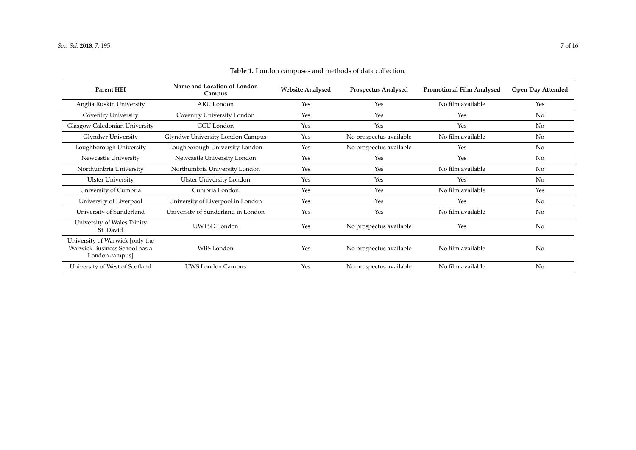<span id="page-6-0"></span>

| <b>Parent HEI</b>                                                                  | Name and Location of London<br>Campus | <b>Website Analysed</b> | <b>Prospectus Analysed</b> | <b>Promotional Film Analysed</b> | Open Day Attended |
|------------------------------------------------------------------------------------|---------------------------------------|-------------------------|----------------------------|----------------------------------|-------------------|
| Anglia Ruskin University                                                           | ARU London                            | Yes                     | Yes                        | No film available                | Yes               |
| Coventry University                                                                | Coventry University London            | Yes                     | Yes                        | Yes                              | No                |
| Glasgow Caledonian University                                                      | GCU London                            | Yes                     | Yes                        | Yes                              | No                |
| Glyndwr University                                                                 | Glyndwr University London Campus      | Yes                     | No prospectus available    | No film available                | No                |
| Loughborough University                                                            | Loughborough University London        | Yes                     | No prospectus available    | Yes                              | No                |
| Newcastle University                                                               | Newcastle University London           | Yes                     | Yes                        | Yes                              | No                |
| Northumbria University                                                             | Northumbria University London         | Yes                     | Yes                        | No film available                | No                |
| <b>Ulster University</b>                                                           | <b>Ulster University London</b>       | Yes                     | Yes                        | Yes                              | No                |
| University of Cumbria                                                              | Cumbria London                        | Yes                     | Yes                        | No film available                | Yes               |
| University of Liverpool                                                            | University of Liverpool in London     | Yes                     | Yes                        | Yes                              | No                |
| University of Sunderland                                                           | University of Sunderland in London    | Yes                     | Yes                        | No film available                | No                |
| University of Wales Trinity<br>St David                                            | <b>UWTSD London</b>                   | Yes                     | No prospectus available    | Yes                              | No                |
| University of Warwick [only the<br>Warwick Business School has a<br>London campus] | WBS London                            | Yes                     | No prospectus available    | No film available                | N <sub>0</sub>    |
| University of West of Scotland                                                     | <b>UWS London Campus</b>              | Yes                     | No prospectus available    | No film available                | No                |

**Table 1.** London campuses and methods of data collection.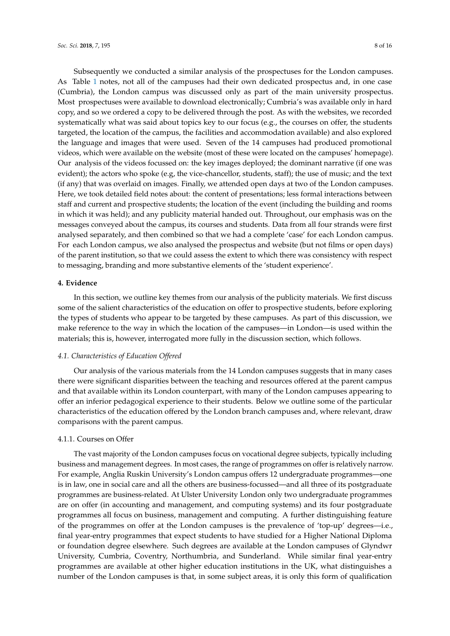Subsequently we conducted a similar analysis of the prospectuses for the London campuses. As Table [1](#page-6-0) notes, not all of the campuses had their own dedicated prospectus and, in one case (Cumbria), the London campus was discussed only as part of the main university prospectus. Most prospectuses were available to download electronically; Cumbria's was available only in hard copy, and so we ordered a copy to be delivered through the post. As with the websites, we recorded systematically what was said about topics key to our focus (e.g., the courses on offer, the students targeted, the location of the campus, the facilities and accommodation available) and also explored the language and images that were used. Seven of the 14 campuses had produced promotional videos, which were available on the website (most of these were located on the campuses' homepage). Our analysis of the videos focussed on: the key images deployed; the dominant narrative (if one was evident); the actors who spoke (e.g, the vice-chancellor, students, staff); the use of music; and the text (if any) that was overlaid on images. Finally, we attended open days at two of the London campuses. Here, we took detailed field notes about: the content of presentations; less formal interactions between staff and current and prospective students; the location of the event (including the building and rooms in which it was held); and any publicity material handed out. Throughout, our emphasis was on the messages conveyed about the campus, its courses and students. Data from all four strands were first analysed separately, and then combined so that we had a complete 'case' for each London campus. For each London campus, we also analysed the prospectus and website (but not films or open days) of the parent institution, so that we could assess the extent to which there was consistency with respect to messaging, branding and more substantive elements of the 'student experience'.

## **4. Evidence**

In this section, we outline key themes from our analysis of the publicity materials. We first discuss some of the salient characteristics of the education on offer to prospective students, before exploring the types of students who appear to be targeted by these campuses. As part of this discussion, we make reference to the way in which the location of the campuses—in London—is used within the materials; this is, however, interrogated more fully in the discussion section, which follows.

#### *4.1. Characteristics of Education Offered*

Our analysis of the various materials from the 14 London campuses suggests that in many cases there were significant disparities between the teaching and resources offered at the parent campus and that available within its London counterpart, with many of the London campuses appearing to offer an inferior pedagogical experience to their students. Below we outline some of the particular characteristics of the education offered by the London branch campuses and, where relevant, draw comparisons with the parent campus.

#### 4.1.1. Courses on Offer

The vast majority of the London campuses focus on vocational degree subjects, typically including business and management degrees. In most cases, the range of programmes on offer is relatively narrow. For example, Anglia Ruskin University's London campus offers 12 undergraduate programmes—one is in law, one in social care and all the others are business-focussed—and all three of its postgraduate programmes are business-related. At Ulster University London only two undergraduate programmes are on offer (in accounting and management, and computing systems) and its four postgraduate programmes all focus on business, management and computing. A further distinguishing feature of the programmes on offer at the London campuses is the prevalence of 'top-up' degrees—i.e., final year-entry programmes that expect students to have studied for a Higher National Diploma or foundation degree elsewhere. Such degrees are available at the London campuses of Glyndwr University, Cumbria, Coventry, Northumbria, and Sunderland. While similar final year-entry programmes are available at other higher education institutions in the UK, what distinguishes a number of the London campuses is that, in some subject areas, it is only this form of qualification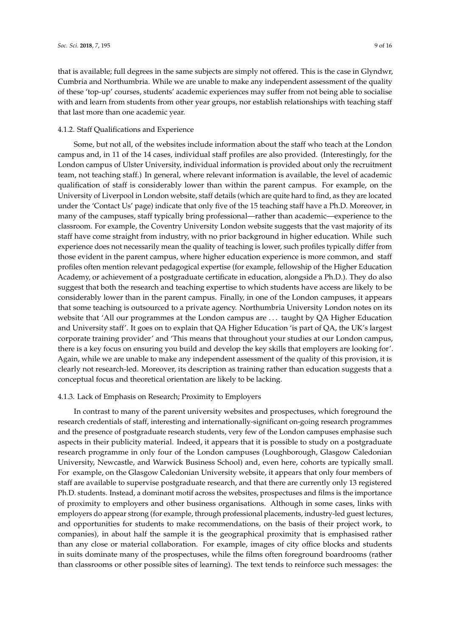that is available; full degrees in the same subjects are simply not offered. This is the case in Glyndwr, Cumbria and Northumbria. While we are unable to make any independent assessment of the quality of these 'top-up' courses, students' academic experiences may suffer from not being able to socialise with and learn from students from other year groups, nor establish relationships with teaching staff that last more than one academic year.

### 4.1.2. Staff Qualifications and Experience

Some, but not all, of the websites include information about the staff who teach at the London campus and, in 11 of the 14 cases, individual staff profiles are also provided. (Interestingly, for the London campus of Ulster University, individual information is provided about only the recruitment team, not teaching staff.) In general, where relevant information is available, the level of academic qualification of staff is considerably lower than within the parent campus. For example, on the University of Liverpool in London website, staff details (which are quite hard to find, as they are located under the 'Contact Us' page) indicate that only five of the 15 teaching staff have a Ph.D. Moreover, in many of the campuses, staff typically bring professional—rather than academic—experience to the classroom. For example, the Coventry University London website suggests that the vast majority of its staff have come straight from industry, with no prior background in higher education. While such experience does not necessarily mean the quality of teaching is lower, such profiles typically differ from those evident in the parent campus, where higher education experience is more common, and staff profiles often mention relevant pedagogical expertise (for example, fellowship of the Higher Education Academy, or achievement of a postgraduate certificate in education, alongside a Ph.D.). They do also suggest that both the research and teaching expertise to which students have access are likely to be considerably lower than in the parent campus. Finally, in one of the London campuses, it appears that some teaching is outsourced to a private agency. Northumbria University London notes on its website that 'All our programmes at the London campus are . . . taught by QA Higher Education and University staff'. It goes on to explain that QA Higher Education 'is part of QA, the UK's largest corporate training provider' and 'This means that throughout your studies at our London campus, there is a key focus on ensuring you build and develop the key skills that employers are looking for'. Again, while we are unable to make any independent assessment of the quality of this provision, it is clearly not research-led. Moreover, its description as training rather than education suggests that a conceptual focus and theoretical orientation are likely to be lacking.

#### 4.1.3. Lack of Emphasis on Research; Proximity to Employers

In contrast to many of the parent university websites and prospectuses, which foreground the research credentials of staff, interesting and internationally-significant on-going research programmes and the presence of postgraduate research students, very few of the London campuses emphasise such aspects in their publicity material. Indeed, it appears that it is possible to study on a postgraduate research programme in only four of the London campuses (Loughborough, Glasgow Caledonian University, Newcastle, and Warwick Business School) and, even here, cohorts are typically small. For example, on the Glasgow Caledonian University website, it appears that only four members of staff are available to supervise postgraduate research, and that there are currently only 13 registered Ph.D. students. Instead, a dominant motif across the websites, prospectuses and films is the importance of proximity to employers and other business organisations. Although in some cases, links with employers do appear strong (for example, through professional placements, industry-led guest lectures, and opportunities for students to make recommendations, on the basis of their project work, to companies), in about half the sample it is the geographical proximity that is emphasised rather than any close or material collaboration. For example, images of city office blocks and students in suits dominate many of the prospectuses, while the films often foreground boardrooms (rather than classrooms or other possible sites of learning). The text tends to reinforce such messages: the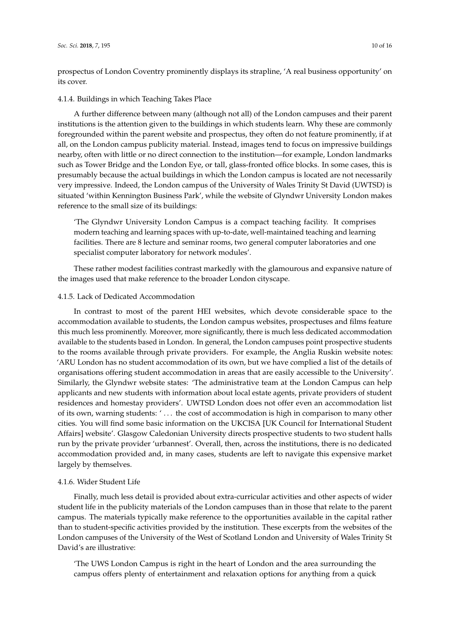prospectus of London Coventry prominently displays its strapline, 'A real business opportunity' on its cover.

#### 4.1.4. Buildings in which Teaching Takes Place

A further difference between many (although not all) of the London campuses and their parent institutions is the attention given to the buildings in which students learn. Why these are commonly foregrounded within the parent website and prospectus, they often do not feature prominently, if at all, on the London campus publicity material. Instead, images tend to focus on impressive buildings nearby, often with little or no direct connection to the institution—for example, London landmarks such as Tower Bridge and the London Eye, or tall, glass-fronted office blocks. In some cases, this is presumably because the actual buildings in which the London campus is located are not necessarily very impressive. Indeed, the London campus of the University of Wales Trinity St David (UWTSD) is situated 'within Kennington Business Park', while the website of Glyndwr University London makes reference to the small size of its buildings:

'The Glyndwr University London Campus is a compact teaching facility. It comprises modern teaching and learning spaces with up-to-date, well-maintained teaching and learning facilities. There are 8 lecture and seminar rooms, two general computer laboratories and one specialist computer laboratory for network modules'.

These rather modest facilities contrast markedly with the glamourous and expansive nature of the images used that make reference to the broader London cityscape.

#### 4.1.5. Lack of Dedicated Accommodation

In contrast to most of the parent HEI websites, which devote considerable space to the accommodation available to students, the London campus websites, prospectuses and films feature this much less prominently. Moreover, more significantly, there is much less dedicated accommodation available to the students based in London. In general, the London campuses point prospective students to the rooms available through private providers. For example, the Anglia Ruskin website notes: 'ARU London has no student accommodation of its own, but we have complied a list of the details of organisations offering student accommodation in areas that are easily accessible to the University'. Similarly, the Glyndwr website states: 'The administrative team at the London Campus can help applicants and new students with information about local estate agents, private providers of student residences and homestay providers'. UWTSD London does not offer even an accommodation list of its own, warning students: ' . . . the cost of accommodation is high in comparison to many other cities. You will find some basic information on the UKCISA [UK Council for International Student Affairs] website'. Glasgow Caledonian University directs prospective students to two student halls run by the private provider 'urbannest'. Overall, then, across the institutions, there is no dedicated accommodation provided and, in many cases, students are left to navigate this expensive market largely by themselves.

# 4.1.6. Wider Student Life

Finally, much less detail is provided about extra-curricular activities and other aspects of wider student life in the publicity materials of the London campuses than in those that relate to the parent campus. The materials typically make reference to the opportunities available in the capital rather than to student-specific activities provided by the institution. These excerpts from the websites of the London campuses of the University of the West of Scotland London and University of Wales Trinity St David's are illustrative:

'The UWS London Campus is right in the heart of London and the area surrounding the campus offers plenty of entertainment and relaxation options for anything from a quick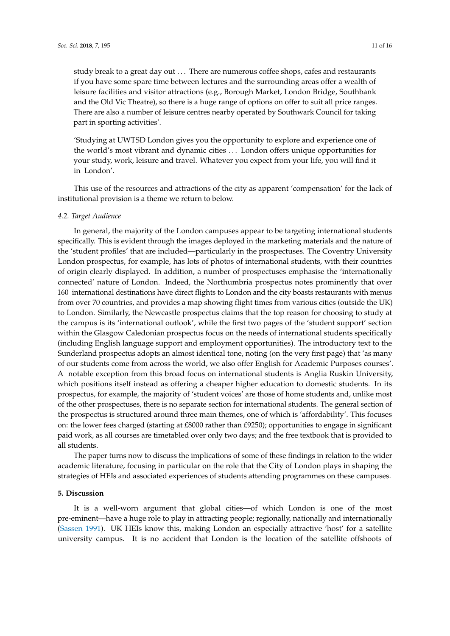study break to a great day out . . . There are numerous coffee shops, cafes and restaurants if you have some spare time between lectures and the surrounding areas offer a wealth of leisure facilities and visitor attractions (e.g., Borough Market, London Bridge, Southbank and the Old Vic Theatre), so there is a huge range of options on offer to suit all price ranges. There are also a number of leisure centres nearby operated by Southwark Council for taking part in sporting activities'.

'Studying at UWTSD London gives you the opportunity to explore and experience one of the world's most vibrant and dynamic cities . . . London offers unique opportunities for your study, work, leisure and travel. Whatever you expect from your life, you will find it in London'.

This use of the resources and attractions of the city as apparent 'compensation' for the lack of institutional provision is a theme we return to below.

#### *4.2. Target Audience*

In general, the majority of the London campuses appear to be targeting international students specifically. This is evident through the images deployed in the marketing materials and the nature of the 'student profiles' that are included—particularly in the prospectuses. The Coventry University London prospectus, for example, has lots of photos of international students, with their countries of origin clearly displayed. In addition, a number of prospectuses emphasise the 'internationally connected' nature of London. Indeed, the Northumbria prospectus notes prominently that over 160 international destinations have direct flights to London and the city boasts restaurants with menus from over 70 countries, and provides a map showing flight times from various cities (outside the UK) to London. Similarly, the Newcastle prospectus claims that the top reason for choosing to study at the campus is its 'international outlook', while the first two pages of the 'student support' section within the Glasgow Caledonian prospectus focus on the needs of international students specifically (including English language support and employment opportunities). The introductory text to the Sunderland prospectus adopts an almost identical tone, noting (on the very first page) that 'as many of our students come from across the world, we also offer English for Academic Purposes courses'. A notable exception from this broad focus on international students is Anglia Ruskin University, which positions itself instead as offering a cheaper higher education to domestic students. In its prospectus, for example, the majority of 'student voices' are those of home students and, unlike most of the other prospectuses, there is no separate section for international students. The general section of the prospectus is structured around three main themes, one of which is 'affordability'. This focuses on: the lower fees charged (starting at £8000 rather than £9250); opportunities to engage in significant paid work, as all courses are timetabled over only two days; and the free textbook that is provided to all students.

The paper turns now to discuss the implications of some of these findings in relation to the wider academic literature, focusing in particular on the role that the City of London plays in shaping the strategies of HEIs and associated experiences of students attending programmes on these campuses.

#### **5. Discussion**

It is a well-worn argument that global cities—of which London is one of the most pre-eminent—have a huge role to play in attracting people; regionally, nationally and internationally [\(Sassen](#page-15-23) [1991\)](#page-15-23). UK HEIs know this, making London an especially attractive 'host' for a satellite university campus. It is no accident that London is the location of the satellite offshoots of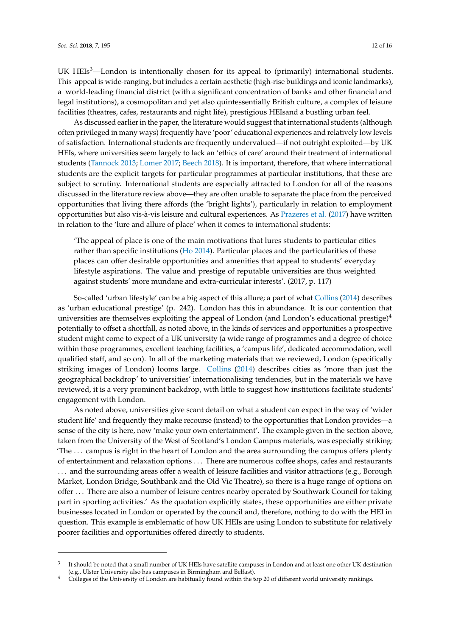UK HEIs<sup>3</sup>—London is intentionally chosen for its appeal to (primarily) international students. This appeal is wide-ranging, but includes a certain aesthetic (high-rise buildings and iconic landmarks), a world-leading financial district (with a significant concentration of banks and other financial and legal institutions), a cosmopolitan and yet also quintessentially British culture, a complex of leisure facilities (theatres, cafes, restaurants and night life), prestigious HEIsand a bustling urban feel.

As discussed earlier in the paper, the literature would suggest that international students (although often privileged in many ways) frequently have 'poor' educational experiences and relatively low levels of satisfaction. International students are frequently undervalued—if not outright exploited—by UK HEIs, where universities seem largely to lack an 'ethics of care' around their treatment of international students [\(Tannock](#page-15-16) [2013;](#page-15-16) [Lomer](#page-14-21) [2017;](#page-14-21) [Beech](#page-13-3) [2018\)](#page-13-3). It is important, therefore, that where international students are the explicit targets for particular programmes at particular institutions, that these are subject to scrutiny. International students are especially attracted to London for all of the reasons discussed in the literature review above—they are often unable to separate the place from the perceived opportunities that living there affords (the 'bright lights'), particularly in relation to employment opportunities but also vis-à-vis leisure and cultural experiences. As [Prazeres et al.](#page-15-5) [\(2017\)](#page-15-5) have written in relation to the 'lure and allure of place' when it comes to international students:

'The appeal of place is one of the main motivations that lures students to particular cities rather than specific institutions [\(Ho](#page-14-24) [2014\)](#page-14-24). Particular places and the particularities of these places can offer desirable opportunities and amenities that appeal to students' everyday lifestyle aspirations. The value and prestige of reputable universities are thus weighted against students' more mundane and extra-curricular interests'. (2017, p. 117)

So-called 'urban lifestyle' can be a big aspect of this allure; a part of what [Collins](#page-14-23) [\(2014\)](#page-14-23) describes as 'urban educational prestige' (p. 242). London has this in abundance. It is our contention that universities are themselves exploiting the appeal of London (and London's educational prestige)<sup>4</sup> potentially to offset a shortfall, as noted above, in the kinds of services and opportunities a prospective student might come to expect of a UK university (a wide range of programmes and a degree of choice within those programmes, excellent teaching facilities, a 'campus life', dedicated accommodation, well qualified staff, and so on). In all of the marketing materials that we reviewed, London (specifically striking images of London) looms large. [Collins](#page-14-23) [\(2014\)](#page-14-23) describes cities as 'more than just the geographical backdrop' to universities' internationalising tendencies, but in the materials we have reviewed, it is a very prominent backdrop, with little to suggest how institutions facilitate students' engagement with London.

As noted above, universities give scant detail on what a student can expect in the way of 'wider student life' and frequently they make recourse (instead) to the opportunities that London provides—a sense of the city is here, now 'make your own entertainment'. The example given in the section above, taken from the University of the West of Scotland's London Campus materials, was especially striking: 'The . . . campus is right in the heart of London and the area surrounding the campus offers plenty of entertainment and relaxation options . . . There are numerous coffee shops, cafes and restaurants ... and the surrounding areas offer a wealth of leisure facilities and visitor attractions (e.g., Borough Market, London Bridge, Southbank and the Old Vic Theatre), so there is a huge range of options on offer . . . There are also a number of leisure centres nearby operated by Southwark Council for taking part in sporting activities.' As the quotation explicitly states, these opportunities are either private businesses located in London or operated by the council and, therefore, nothing to do with the HEI in question. This example is emblematic of how UK HEIs are using London to substitute for relatively poorer facilities and opportunities offered directly to students.

<sup>3</sup> It should be noted that a small number of UK HEIs have satellite campuses in London and at least one other UK destination (e.g., Ulster University also has campuses in Birmingham and Belfast).

<sup>&</sup>lt;sup>4</sup> Colleges of the University of London are habitually found within the top 20 of different world university rankings.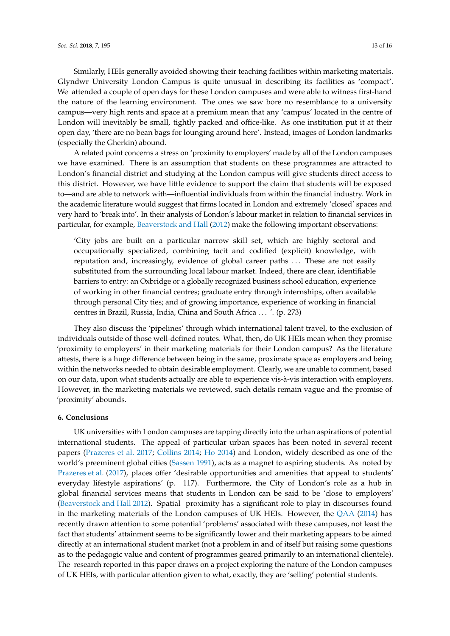Similarly, HEIs generally avoided showing their teaching facilities within marketing materials. Glyndwr University London Campus is quite unusual in describing its facilities as 'compact'. We attended a couple of open days for these London campuses and were able to witness first-hand the nature of the learning environment. The ones we saw bore no resemblance to a university campus—very high rents and space at a premium mean that any 'campus' located in the centre of London will inevitably be small, tightly packed and office-like. As one institution put it at their open day, 'there are no bean bags for lounging around here'. Instead, images of London landmarks (especially the Gherkin) abound.

A related point concerns a stress on 'proximity to employers' made by all of the London campuses we have examined. There is an assumption that students on these programmes are attracted to London's financial district and studying at the London campus will give students direct access to this district. However, we have little evidence to support the claim that students will be exposed to—and are able to network with—influential individuals from within the financial industry. Work in the academic literature would suggest that firms located in London and extremely 'closed' spaces and very hard to 'break into'. In their analysis of London's labour market in relation to financial services in particular, for example, [Beaverstock and Hall](#page-13-2) [\(2012\)](#page-13-2) make the following important observations:

'City jobs are built on a particular narrow skill set, which are highly sectoral and occupationally specialized, combining tacit and codified (explicit) knowledge, with reputation and, increasingly, evidence of global career paths . . . These are not easily substituted from the surrounding local labour market. Indeed, there are clear, identifiable barriers to entry: an Oxbridge or a globally recognized business school education, experience of working in other financial centres; graduate entry through internships, often available through personal City ties; and of growing importance, experience of working in financial centres in Brazil, Russia, India, China and South Africa . . . '. (p. 273)

They also discuss the 'pipelines' through which international talent travel, to the exclusion of individuals outside of those well-defined routes. What, then, do UK HEIs mean when they promise 'proximity to employers' in their marketing materials for their London campus? As the literature attests, there is a huge difference between being in the same, proximate space as employers and being within the networks needed to obtain desirable employment. Clearly, we are unable to comment, based on our data, upon what students actually are able to experience vis-à-vis interaction with employers. However, in the marketing materials we reviewed, such details remain vague and the promise of 'proximity' abounds.

# **6. Conclusions**

UK universities with London campuses are tapping directly into the urban aspirations of potential international students. The appeal of particular urban spaces has been noted in several recent papers [\(Prazeres et al.](#page-15-5) [2017;](#page-15-5) [Collins](#page-14-23) [2014;](#page-14-23) [Ho](#page-14-24) [2014\)](#page-14-24) and London, widely described as one of the world's preeminent global cities [\(Sassen](#page-15-23) [1991\)](#page-15-23), acts as a magnet to aspiring students. As noted by [Prazeres et al.](#page-15-5) [\(2017\)](#page-15-5), places offer 'desirable opportunities and amenities that appeal to students' everyday lifestyle aspirations' (p. 117). Furthermore, the City of London's role as a hub in global financial services means that students in London can be said to be 'close to employers' [\(Beaverstock and Hall](#page-13-2) [2012\)](#page-13-2). Spatial proximity has a significant role to play in discourses found in the marketing materials of the London campuses of UK HEIs. However, the [QAA](#page-15-2) [\(2014\)](#page-15-2) has recently drawn attention to some potential 'problems' associated with these campuses, not least the fact that students' attainment seems to be significantly lower and their marketing appears to be aimed directly at an international student market (not a problem in and of itself but raising some questions as to the pedagogic value and content of programmes geared primarily to an international clientele). The research reported in this paper draws on a project exploring the nature of the London campuses of UK HEIs, with particular attention given to what, exactly, they are 'selling' potential students.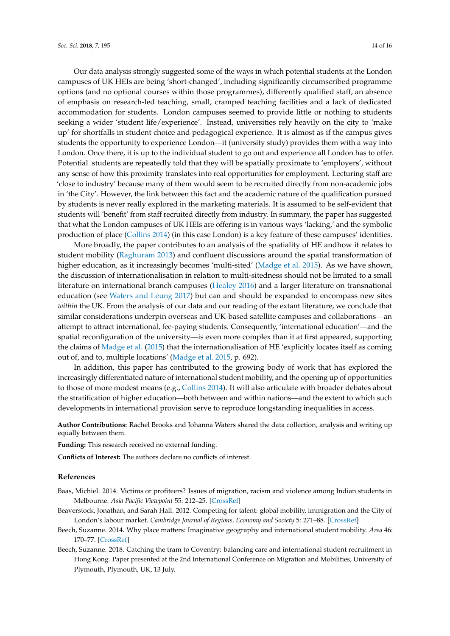Our data analysis strongly suggested some of the ways in which potential students at the London campuses of UK HEIs are being 'short-changed', including significantly circumscribed programme options (and no optional courses within those programmes), differently qualified staff, an absence of emphasis on research-led teaching, small, cramped teaching facilities and a lack of dedicated accommodation for students. London campuses seemed to provide little or nothing to students seeking a wider 'student life/experience'. Instead, universities rely heavily on the city to 'make up' for shortfalls in student choice and pedagogical experience. It is almost as if the campus gives students the opportunity to experience London—it (university study) provides them with a way into London. Once there, it is up to the individual student to go out and experience all London has to offer. Potential students are repeatedly told that they will be spatially proximate to 'employers', without any sense of how this proximity translates into real opportunities for employment. Lecturing staff are 'close to industry' because many of them would seem to be recruited directly from non-academic jobs in 'the City'. However, the link between this fact and the academic nature of the qualification pursued by students is never really explored in the marketing materials. It is assumed to be self-evident that students will 'benefit' from staff recruited directly from industry. In summary, the paper has suggested that what the London campuses of UK HEIs are offering is in various ways 'lacking,' and the symbolic production of place [\(Collins](#page-14-23) [2014\)](#page-14-23) (in this case London) is a key feature of these campuses' identities.

More broadly, the paper contributes to an analysis of the spatiality of HE andhow it relates to student mobility [\(Raghuram](#page-15-20) [2013\)](#page-15-20) and confluent discussions around the spatial transformation of higher education, as it increasingly becomes 'multi-sited' [\(Madge et al.](#page-15-1) [2015\)](#page-15-1). As we have shown, the discussion of internationalisation in relation to multi-sitedness should not be limited to a small literature on international branch campuses [\(Healey](#page-14-1) [2016\)](#page-14-1) and a larger literature on transnational education (see [Waters and Leung](#page-15-0) [2017\)](#page-15-0) but can and should be expanded to encompass new sites *within* the UK. From the analysis of our data and our reading of the extant literature, we conclude that similar considerations underpin overseas and UK-based satellite campuses and collaborations—an attempt to attract international, fee-paying students. Consequently, 'international education'—and the spatial reconfiguration of the university—is even more complex than it at first appeared, supporting the claims of [Madge et al.](#page-15-1) [\(2015\)](#page-15-1) that the internationalisation of HE 'explicitly locates itself as coming out of, and to, multiple locations' [\(Madge et al.](#page-15-1) [2015,](#page-15-1) p. 692).

In addition, this paper has contributed to the growing body of work that has explored the increasingly differentiated nature of international student mobility, and the opening up of opportunities to those of more modest means (e.g., [Collins](#page-14-23) [2014\)](#page-14-23). It will also articulate with broader debates about the stratification of higher education—both between and within nations—and the extent to which such developments in international provision serve to reproduce longstanding inequalities in access.

**Author Contributions:** Rachel Brooks and Johanna Waters shared the data collection, analysis and writing up equally between them.

**Funding:** This research received no external funding.

**Conflicts of Interest:** The authors declare no conflicts of interest.

#### **References**

- <span id="page-13-0"></span>Baas, Michiel. 2014. Victims or profiteers? Issues of migration, racism and violence among Indian students in Melbourne. *Asia Pacific Viewpoint* 55: 212–25. [\[CrossRef\]](http://dx.doi.org/10.1111/apv.12046)
- <span id="page-13-2"></span>Beaverstock, Jonathan, and Sarah Hall. 2012. Competing for talent: global mobility, immigration and the City of London's labour market. *Cambridge Journal of Regions, Economy and Society* 5: 271–88. [\[CrossRef\]](http://dx.doi.org/10.1093/cjres/rss005)
- <span id="page-13-1"></span>Beech, Suzanne. 2014. Why place matters: Imaginative geography and international student mobility. *Area* 46: 170–77. [\[CrossRef\]](http://dx.doi.org/10.1111/area.12096)
- <span id="page-13-3"></span>Beech, Suzanne. 2018. Catching the tram to Coventry: balancing care and international student recruitment in Hong Kong. Paper presented at the 2nd International Conference on Migration and Mobilities, University of Plymouth, Plymouth, UK, 13 July.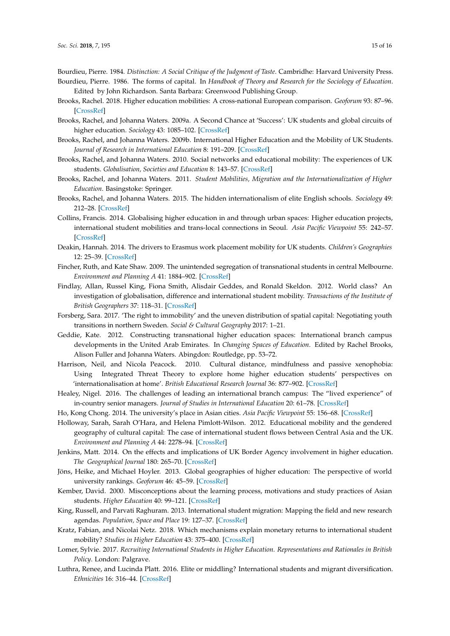<span id="page-14-3"></span>Bourdieu, Pierre. 1984. *Distinction: A Social Critique of the Judgment of Taste*. Cambridhe: Harvard University Press.

- <span id="page-14-4"></span>Bourdieu, Pierre. 1986. The forms of capital. In *Handbook of Theory and Research for the Sociology of Education*. Edited by John Richardson. Santa Barbara: Greenwood Publishing Group.
- <span id="page-14-20"></span>Brooks, Rachel. 2018. Higher education mobilities: A cross-national European comparison. *Geoforum* 93: 87–96. [\[CrossRef\]](http://dx.doi.org/10.1016/j.geoforum.2018.05.009)
- <span id="page-14-13"></span>Brooks, Rachel, and Johanna Waters. 2009a. A Second Chance at 'Success': UK students and global circuits of higher education. *Sociology* 43: 1085–102. [\[CrossRef\]](http://dx.doi.org/10.1177/0038038509345713)
- <span id="page-14-15"></span>Brooks, Rachel, and Johanna Waters. 2009b. International Higher Education and the Mobility of UK Students. *Journal of Research in International Education* 8: 191–209. [\[CrossRef\]](http://dx.doi.org/10.1177/1475240909105204)
- <span id="page-14-7"></span>Brooks, Rachel, and Johanna Waters. 2010. Social networks and educational mobility: The experiences of UK students. *Globalisation, Societies and Education* 8: 143–57. [\[CrossRef\]](http://dx.doi.org/10.1080/14767720903574132)
- <span id="page-14-2"></span>Brooks, Rachel, and Johanna Waters. 2011. *Student Mobilities, Migration and the Internationalization of Higher Education*. Basingstoke: Springer.
- <span id="page-14-16"></span>Brooks, Rachel, and Johanna Waters. 2015. The hidden internationalism of elite English schools. *Sociology* 49: 212–28. [\[CrossRef\]](http://dx.doi.org/10.1177/0038038514525517)
- <span id="page-14-23"></span>Collins, Francis. 2014. Globalising higher education in and through urban spaces: Higher education projects, international student mobilities and trans-local connections in Seoul. *Asia Pacific Viewpoint* 55: 242–57. [\[CrossRef\]](http://dx.doi.org/10.1111/apv.12055)
- <span id="page-14-11"></span>Deakin, Hannah. 2014. The drivers to Erasmus work placement mobility for UK students. *Children's Geographies* 12: 25–39. [\[CrossRef\]](http://dx.doi.org/10.1080/14733285.2013.851063)
- <span id="page-14-22"></span>Fincher, Ruth, and Kate Shaw. 2009. The unintended segregation of transnational students in central Melbourne. *Environment and Planning A* 41: 1884–902. [\[CrossRef\]](http://dx.doi.org/10.1068/a41126)
- <span id="page-14-5"></span>Findlay, Allan, Russel King, Fiona Smith, Alisdair Geddes, and Ronald Skeldon. 2012. World class? An investigation of globalisation, difference and international student mobility. *Transactions of the Institute of British Geographers* 37: 118–31. [\[CrossRef\]](http://dx.doi.org/10.1111/j.1475-5661.2011.00454.x)
- <span id="page-14-9"></span>Forsberg, Sara. 2017. 'The right to immobility' and the uneven distribution of spatial capital: Negotiating youth transitions in northern Sweden. *Social & Cultural Geography* 2017: 1–21.
- <span id="page-14-0"></span>Geddie, Kate. 2012. Constructing transnational higher education spaces: International branch campus developments in the United Arab Emirates. In *Changing Spaces of Education*. Edited by Rachel Brooks, Alison Fuller and Johanna Waters. Abingdon: Routledge, pp. 53–72.
- <span id="page-14-17"></span>Harrison, Neil, and Nicola Peacock. 2010. Cultural distance, mindfulness and passive xenophobia: Using Integrated Threat Theory to explore home higher education students' perspectives on 'internationalisation at home'. *British Educational Research Journal* 36: 877–902. [\[CrossRef\]](http://dx.doi.org/10.1080/01411920903191047)
- <span id="page-14-1"></span>Healey, Nigel. 2016. The challenges of leading an international branch campus: The "lived experience" of in-country senior managers. *Journal of Studies in International Education* 20: 61–78. [\[CrossRef\]](http://dx.doi.org/10.1177/1028315315602928)
- <span id="page-14-24"></span>Ho, Kong Chong. 2014. The university's place in Asian cities. *Asia Pacific Viewpoint* 55: 156–68. [\[CrossRef\]](http://dx.doi.org/10.1111/apv.12048)
- <span id="page-14-10"></span>Holloway, Sarah, Sarah O'Hara, and Helena Pimlott-Wilson. 2012. Educational mobility and the gendered geography of cultural capital: The case of international student flows between Central Asia and the UK. *Environment and Planning A* 44: 2278–94. [\[CrossRef\]](http://dx.doi.org/10.1068/a44655)
- <span id="page-14-19"></span>Jenkins, Matt. 2014. On the effects and implications of UK Border Agency involvement in higher education. *The Geographical Journal* 180: 265–70. [\[CrossRef\]](http://dx.doi.org/10.1111/geoj.12066)
- <span id="page-14-6"></span>Jöns, Heike, and Michael Hoyler. 2013. Global geographies of higher education: The perspective of world university rankings. *Geoforum* 46: 45–59. [\[CrossRef\]](http://dx.doi.org/10.1016/j.geoforum.2012.12.014)
- <span id="page-14-18"></span>Kember, David. 2000. Misconceptions about the learning process, motivations and study practices of Asian students. *Higher Education* 40: 99–121. [\[CrossRef\]](http://dx.doi.org/10.1023/A:1004036826490)
- <span id="page-14-8"></span>King, Russell, and Parvati Raghuram. 2013. International student migration: Mapping the field and new research agendas. *Population, Space and Place* 19: 127–37. [\[CrossRef\]](http://dx.doi.org/10.1002/psp.1746)
- <span id="page-14-14"></span>Kratz, Fabian, and Nicolai Netz. 2018. Which mechanisms explain monetary returns to international student mobility? *Studies in Higher Education* 43: 375–400. [\[CrossRef\]](http://dx.doi.org/10.1080/03075079.2016.1172307)
- <span id="page-14-21"></span>Lomer, Sylvie. 2017. *Recruiting International Students in Higher Education. Representations and Rationales in British Policy*. London: Palgrave.
- <span id="page-14-12"></span>Luthra, Renee, and Lucinda Platt. 2016. Elite or middling? International students and migrant diversification. *Ethnicities* 16: 316–44. [\[CrossRef\]](http://dx.doi.org/10.1177/1468796815616155)